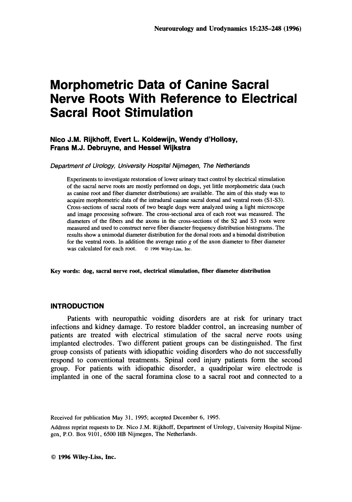# **Morphometric Data of Canine Sacral Nerve Roots With Reference to Electrical Sacral Root Stimulation**

#### **Nico J.M. Rijkhoff, Evert L. Koldewijn, Wendy d'Hollosy, Frans M.J. Debruyne, and Hessel Wijkstra**

*Department of Urobgy, Universjity Hospital Njjrnegen, The Netherlands* 

Experiments to investigate restoration of lower **urinary** tract control by electrical stimulation of the sacral nerve roots are mostly performed **on** dogs, yet little morphometric data (such as canine root and fiber diameter distributions) are available. The aim of this study was to acquire morphometric data of the intradural canine sacral dorsal and ventral roots (Sl-S3). Cross-sections of sacral roots of two beagle dogs were analyzed using a light microscope and image processing software. The cross-sectional area of each root was measured. The diameters of the fibers and the axons in the cross-sections of the *S2* and S3 roots were measured and used to construct nerve fiber diameter frequency distribution histograms. The results show a unimodal diameter distribution for the dorsal roots and a bimodal distribution for the ventral roots. **In** addition the average ratio g of the axon diameter to fiber diameter was calculated for each root. *0* **1996 Wiley-Liss, hc.** 

**Key words: dog, sacral nerve root, electrical stimulation, fiber diameter distribution** 

#### **INTRODUCTION**

Patients with neuropathic voiding disorders are at risk for urinary tract infections and kidney damage. To restore bladder control, an increasing number of patients are treated with electrical stimulation of the sacral nerve roots using implanted electrodes. Two different patient groups can be distinguished. The first group consists of patients with idiopathic voiding disorders who do not successfully respond to conventional treatments. Spinal cord injury patients form the second group. For patients with idiopathic disorder, a quadripolar wire electrode is implanted in one of the sacral foramina close to a sacral root and connected to a

Received for publication May 31, 1995; accepted December 6, 1995.

Address reprint requests to Dr. Nico J.M. Rijkhoff, Department of Urology, University Hospital Nijmegen, P.O. Box 9101, 6500 HB Nijmegen, The Netherlands.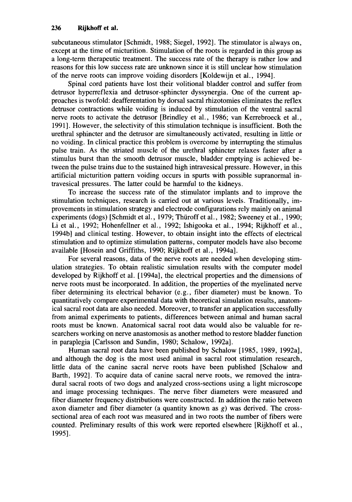subcutaneous stimulator [Schmidt, 1988; Siegel, 19921. The stimulator is always on, except at the time of micturition. Stimulation of the roots is regarded in this group as a long-term therapeutic treatment. The success rate of the therapy is rather low and reasons for this low success rate are unknown since it is still unclear how stimulation of the nerve roots can improve voiding disorders [Koldewijn et al., 19941.

Spinal cord patients have lost their volitional bladder control and suffer from detrusor hyperreflexia and detrusor-sphincter dyssynergia. One of the current approaches is twofold: deafferentation by dorsal sacral rhizotomies eliminates the reflex detrusor contractions while voiding is induced by stimulation of the ventral sacral nerve roots to activate the detrusor [Brindley et al., 1986; van Kerrebroeck et al., 19911. However, the selectivity of this stimulation technique is insufficient. Both the urethral sphincter and the detrusor are simultaneously activated, resulting in little or no voiding. In clinical practice this problem is overcome by interrupting the stimulus pulse train. As the striated muscle of the urethral sphincter relaxes faster after a stimulus burst than the smooth detrusor muscle, bladder emptying is achieved between the pulse trains due to the sustained high intravesical pressure. However, in this artificial micturition pattern voiding occurs in spurts with possible supranormal intravesical pressures. The latter could be harmful to the kidneys.

To increase the success rate of the stimulator implants and to improve the stimulation techniques, research is carried out at various levels. Traditionally, improvements in stimulation strategy and electrode configurations rely mainly on animal experiments (dogs) [Schmidt et al., 1979; Thuroff et al., 1982; Sweeney et al., 1990; Li et al., 1992; Hohenfellner et al., 1992; Ishigooka et al., 1994; Rijkhoff et al., 1994bl and clinical testing. However, to obtain insight into the effects of electrical stimulation and to optimize stimulation patterns , computer models have also become available [Hosein and Griffiths, 1990; Rijkhoff et al., 1994al.

For several reasons, data of the nerve roots are needed when developing stimulation strategies. To obtain realistic simulation results with the computer model developed by Rijkhoff et al. [ 1994a1, the electrical properties and the dimensions of nerve roots must be incorporated. In addition, the properties of the myelinated nerve fiber determining its electrical behavior (e.g., fiber diameter) must be known. To quantitatively compare experimental data with theoretical simulation results, anatomical sacral root data are also needed. Moreover, to transfer an application successfully from animal experiments to patients, differences between animal and human sacral roots must be known. Anatomical sacral root data would also be valuable for researchers working on nerve anastomosis as another method to restore bladder function in paraplegia [Carlsson and Sundin, 1980; Schalow, 1992al.

Human sacral root data have been published by Schalow [1985, 1989, 1992a], and although the dog is the most used animal in sacral root stimulation research, little data of the canine sacral nerve roots have been published [Schalow and Barth, 19921. To acquire data of canine sacral nerve roots, we removed the intradural sacral roots of two dogs and analyzed cross-sections using a light microscope and image processing techniques. The nerve fiber diameters were measured and fiber diameter frequency distributions were constructed. In addition the ratio between axon diameter and fiber diameter (a quantity known as *g)* was derived. The crosssectional area of each root was measured and in two roots the number of fibers were counted. Preliminary results of this work were reported elsewhere [Rijkhoff et al., 19951.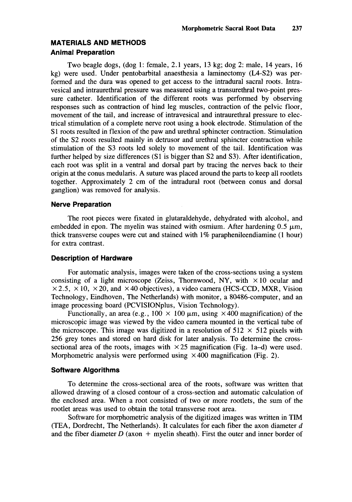## **MATERIALS AND METHODS Animal Preparation**

Two beagle dogs, (dog 1: female, 2.1 years, 13 kg; dog 2: male, 14 years, 16 kg) were used. Under pentobarbital anaesthesia a laminectomy **(L4-S2)** was performed and the dura was opened to get access to the intradural sacral roots. Intravesical and intraurethral pressure was measured using a transurethral two-point pressure catheter. Identification of the different roots was performed by observing responses such as contraction of hind leg muscles, contraction of the pelvic floor, movement of the tail, and increase of intravesical and intraurethral pressure to electrical stimulation of a complete nerve root using a hook electrode. Stimulation of the **S1** roots resulted in flexion of the paw and urethral sphincter contraction. Stimulation of the S2 roots resulted mainly in detrusor and urethral sphincter contraction while stimulation of the S3 roots led solely to movement of the tail. Identification was further helped by size differences **(S1** is bigger than **S2** and **S3).** After identification, each root was split in a ventral and dorsal part by tracing the nerves back to their origin at the conus medularis. A suture was placed around the parts to keep all rootlets together. Approximately 2 cm of the intradural root (between conus and dorsal ganglion) was removed for analysis.

## **Nerve Preparation**

The root pieces were fixated in glutaraldehyde, dehydrated with alcohol, and embedded in epon. The myelin was stained with osmium. After hardening  $0.5 \mu m$ , thick transverse coupes were cut and stained with  $1\%$  paraphenileendiamine (1 hour) for extra contrast.

## **Description of Hardware**

For automatic analysis, images were taken of the cross-sections using a system consisting of a light microscope (Zeiss, Thornwood, NY, with  $\times 10$  ocular and  $\times$  2.5,  $\times$  10,  $\times$  20, and  $\times$  40 objectives), a video camera (HCS-CCD, MXR, Vision Technology, Eindhoven, The Netherlands) with monitor, a 80486-computer, and an image processing board (PCVISIONplus, Vision Technology).

Functionally, an area (e.g.,  $100 \times 100 \mu m$ , using  $\times 400$  magnification) of the microscopic image was viewed by the video camera mounted in the vertical tube of the microscope. This image was digitized in a resolution of  $512 \times 512$  pixels with 256 grey tones and stored on hard disk for later analysis. To determine the crosssectional area of the roots, images with  $\times$  25 magnification (Fig. 1a–d) were used. Morphometric analysis were performed using  $\times$  400 magnification (Fig. 2).

## **Software Algorithms**

To determine the cross-sectional area of the roots, software was written that allowed drawing of a closed contour of a cross-section and automatic calculation of the enclosed area. When a root consisted of two or more rootlets, the sum of the rootlet areas was used to obtain the total transverse root area.

Software for morphometric analysis of the digitized images was written in TIM (TEA, Dordrecht, The Netherlands). It calculates for each fiber the axon diameter *d*  and the fiber diameter  $D$  (axon  $+$  myelin sheath). First the outer and inner border of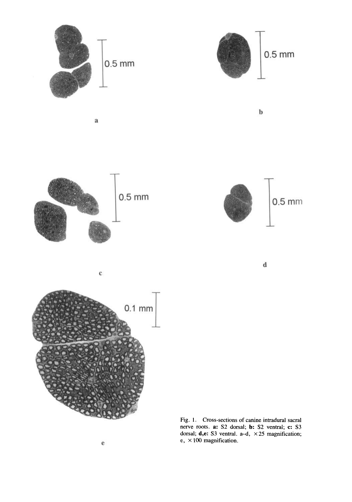

**Fig. 1. Cross-sections** of **canine intradural sacral nerve roots. a:** S2 **dorsal; b:** S2 **ventral; c: S3 dorsal; d,e: S3 ventral. a-d,** X25 **magnification; e,** x 100 **magnification.**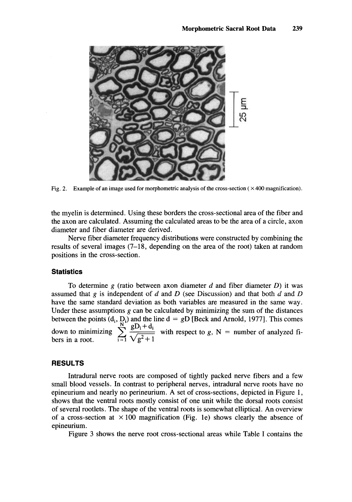

**Fig. 2.** Example of an image used for morphometric analysis of the cross-section  $(\times 400$  magnification).

the myelin is determined. Using these borders the cross-sectional area of the fiber and the axon are calculated. Assuming the calculated areas to be the area of a circle, axon diameter and fiber diameter are derived.

Nerve fiber diameter frequency distributions were constructed by combining the results of several images (7-18, depending on the area of the root) taken at random positions in the cross-section.

#### **Statistics**

To determine **g** (ratio between axon diameter *d* and fiber diameter *D)* it was assumed that **g** is independent of *d* and *D* (see Discussion) and that both *d* and *D*  have the same standard deviation as both variables are measured in the same way. Under these assumptions  $g$  can be calculated by minimizing the sum of the distances between the points  $(d_i, D_i)$  and the line  $d = gD$  [Beck and Arnold, 1977]. This comes down to minimizing  $\sum_{i=1}^{N} \frac{gD_i + d_i}{\sqrt{g^2 + 1}}$  with respect to *g*, N = number of analyzed fibers in a root.

#### **RESULTS**

Intradural nerve roots are composed of tightly packed nerve fibers and a few small blood vessels. In contrast to peripheral nerves, intradural nerve roots have no epineurium and nearly no perineurium. A set of cross-sections, depicted in Figure 1, shows that the ventral roots mostly consist of one unit while the dorsal roots consist of several rootlets. The shape of the ventral roots is somewhat elliptical. An overview of a cross-section at  $\times$  100 magnification (Fig. 1e) shows clearly the absence of epineurium.

Figure **3** shows the nerve root cross-sectional areas while Table I contains the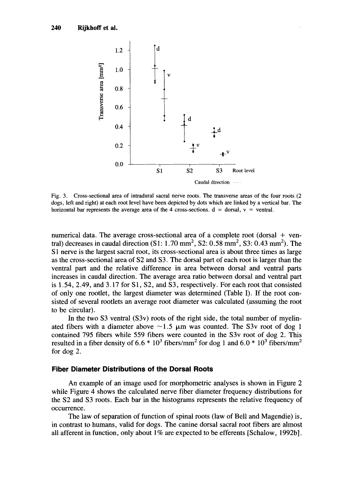

**Fig.** 3. **Cross-sectional area of intradural sacral nerve roots. The transverse areas of the four roots (2 dogs, left and right) at each root level have been depicted by dots which are linked by a vertical bar. The**  horizontal bar represents the average area of the 4 cross-sections.  $d =$  dorsal,  $v =$  ventral.

numerical data. The average cross-sectional area of a complete root (dorsal + ventral) decreases in caudal direction  $(S1: 1.70 \text{ mm}^2, S2: 0.58 \text{ mm}^2, S3: 0.43 \text{ mm}^2)$ . The S1 nerve is the largest sacral root, its cross-sectional area is about three times as large as the cross-sectional area of S2 and S3. The dorsal part of each root is larger than the ventral part and the relative difference in area between dorsal and ventral **parts**  increases in caudal direction. The average area ratio between dorsal and ventral part is 1.54,2.49, and 3.17 for **S1, S2,** and S3, respectively. For each root that consisted of only one rootlet, the largest diameter was determined (Table I). If the root consisted of several rootlets an average root diameter was calculated (assuming the root to be circular).

In the two S3 ventral (S3v) roots of the right side, the total number of myelinated fibers with a diameter above  $\sim$ 1.5  $\mu$ m was counted. The S3v root of dog 1 contained 795 fibers while 559 fibers were counted in the S3v root of dog 2. This resulted in a fiber density of  $6.6 * 10^3$  fibers/mm<sup>2</sup> for dog 1 and  $6.0 * 10^3$  fibers/mm<sup>2</sup> for dog 2.

#### **Fiber Diameter Distributions of the Dorsal Roots**

**An** example of an image used for morphometric analyses is shown in Figure **2**  while Figure 4 shows the calculated nerve fiber diameter frequency distributions for the **S2** and S3 roots. Each bar in the histograms represents the relative frequency of occurrence.

The law of separation of function of spinal roots (law of Bell and Magendie) is, in contrast to humans, valid for dogs. The canine dorsal sacral root fibers are almost all afferent in function, only about 1% are expected to be efferents [Schalow, 1992bl.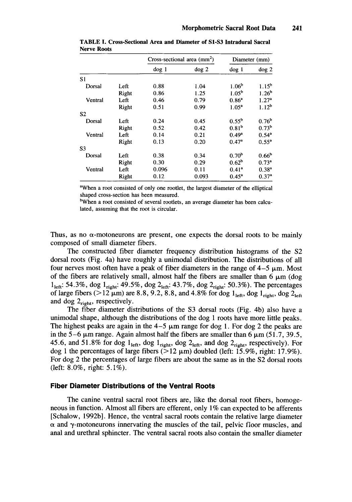|                |       | $Cross\text{-sectional area } (mm^2)$ |          | Diameter (mm)     |                   |
|----------------|-------|---------------------------------------|----------|-------------------|-------------------|
|                |       | dog 1                                 | $\log 2$ | $\log 1$          | $\log 2$          |
| S1             |       |                                       |          |                   |                   |
| Dorsal         | Left  | 0.88                                  | 1.04     | 1.06 <sup>b</sup> | $1.15^{b}$        |
|                | Right | 0.86                                  | 1.25     | 1.05 <sup>b</sup> | 1.26 <sup>b</sup> |
| Ventral        | Left  | 0.46                                  | 0.79     | $0.86^a$          | 1.27 <sup>a</sup> |
|                | Right | 0.51                                  | 0.99     | $1.05^a$          | $1.12^b$          |
| S <sub>2</sub> |       |                                       |          |                   |                   |
| Dorsal         | Left  | 0.24                                  | 0.45     | $0.55^{\rm b}$    | 0.76 <sup>b</sup> |
|                | Right | 0.52                                  | 0.42     | 0.81 <sup>b</sup> | 0.73 <sup>b</sup> |
| Ventral        | Left  | 0.14                                  | 0.21     | $0.49^{\rm a}$    | $0.54^{a}$        |
|                | Right | 0.13                                  | 0.20     | $0.47^a$          | $0.55^{a}$        |
| S3             |       |                                       |          |                   |                   |
| Dorsal         | Left  | 0.38                                  | 0.34     | 0.70 <sup>b</sup> | 0.66 <sup>b</sup> |
|                | Right | 0.30                                  | 0.29     | 0.62 <sup>b</sup> | $0.73^a$          |
| Ventral        | Left  | 0.096                                 | 0.11     | $0.41^{\rm a}$    | $0.38^{a}$        |
|                | Right | 0.12                                  | 0.093    | $0.45^{\rm a}$    | 0.37 <sup>a</sup> |

**TABLE I. Cross-Sectional Area and Diameter of S1-S3 Intradural Sacral Nerve Roots** 

<sup>a</sup>When a root consisted of only one rootlet, the largest diameter of the elliptical shaped cross-section has been measured.

<sup>b</sup>When a root consisted of several rootlets, an average diameter has been calculated, assuming that the root is circular.

Thus, as no  $\alpha$ -motoneurons are present, one expects the dorsal roots to be mainly composed of small diameter fibers.

The constructed fiber diameter frequency distribution histograms of the S2 dorsal roots (Fig. 4a) have roughly a unimodal distribution. The distributions of all four nerves most often have a peak of fiber diameters in the range of  $4-5 \mu m$ . Most of the fibers are relatively small, almost half the fibers are smaller than  $6 \mu m$  (dog 1<sub>left</sub>: 54.3%, dog 1<sub>right</sub>: 49.5%, dog 2<sub>left</sub>: 43.7%, dog 2<sub>right</sub>: 50.3%). The percentages of large fibers ( $>12 \mu m$ ) are 8.8, 9.2, 8.8, and 4.8% for dog  $1_{\text{left}}$ , dog  $1_{\text{right}}$ , dog  $2_{\text{left}}$ and dog  $2_{\text{right}}$ , respectively.

The fiber diameter distributions of the **S3** dorsal roots (Fig. 4b) also have a unimodal shape, although the distributions of the dog 1 roots have more little peaks. The highest peaks are again in the  $4-5 \mu m$  range for dog 1. For dog 2 the peaks are in the 5-6  $\mu$ m range. Again almost half the fibers are smaller than 6  $\mu$ m (51.7, 39.5, 45.6, and 51.8% for dog  $l_{\text{left}}$ , dog  $l_{\text{right}}$ , dog  $2_{\text{left}}$ , and dog  $2_{\text{right}}$ , respectively). For dog 1 the percentages of large fibers ( $>12 \mu m$ ) doubled (left: 15.9%, right: 17.9%). For dog 2 the percentages of large fibers are about the same as in the S2 dorsal roots (left: *8.0%,* right: 5.1%).

#### **Fiber Diameter Distributions of the Ventral Roots**

The canine ventral sacral root fibers are, like the dorsal root fibers, homogeneous in function. Almost all fibers are efferent, only 1% can expected to be afferents [Schalow, 1992bl. Hence, the ventral sacral roots contain the relative large diameter  $\alpha$  and  $\gamma$ -motoneurons innervating the muscles of the tail, pelvic floor muscles, and anal and urethral sphincter. The ventral sacral roots also contain the smaller diameter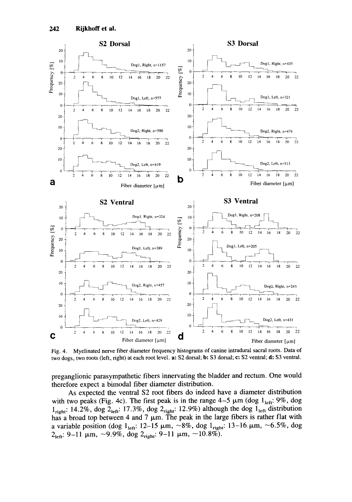

Fig. **4.** Myelinated nerve fiber diameter frequency histograms of canine intradural sacral roots. Data of two dogs, two roots (left, right) at each root level. a: S2 dorsal; **b:** S3 dorsal; **c:** S2 ventral; **d:** S3 ventral.

preganglionic parasympathetic fibers innervating the bladder and rectum. One would therefore expect a bimodal fiber diameter distribution.

As expected the ventral S2 root fibers do indeed have a diameter distribution with two peaks (Fig. 4c). The first peak is in the range  $4-5 \mu m$  (dog  $l_{\text{left}}$ :  $9\%$ , dog  $l_{\text{right}}$ : 14.2%, dog 2<sub>1eft</sub>: 17.3%, dog 2<sub>right</sub>: 12.9%) although the dog  $l_{\text{left}}$  distribution has a broad top between 4 and 7  $\mu$ m. The peak in the large fibers is rather flat with a variable position (dog  $1_{\text{left}}$ : 12-15  $\mu$ m,  $\sim$ 8%, dog  $1_{\text{right}}$ : 13-16  $\mu$ m,  $\sim$ 6.5%, dog  $2_{\text{left}}$ : 9-11  $\mu$ m, ~9.9%, dog  $2_{\text{right}}$ : 9-11  $\mu$ m, ~10.8%).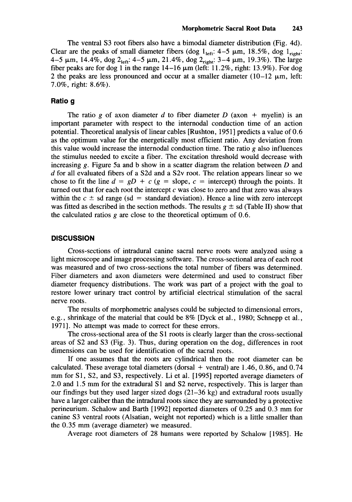The ventral **S3** root fibers also have a bimodal diameter distribution (Fig. **4d).**  Clear are the peaks of small diameter fibers (dog  $1_{\text{left}}$ : 4-5  $\mu$ m, 18.5%, dog  $1_{\text{right}}$ :  $4-5 \mu m$ ,  $14.4\%$ ,  $\log 2_{\text{left}}$ :  $4-5 \mu m$ ,  $21.4\%$ ,  $\log 2_{\text{right}}$ :  $3-4 \mu m$ ,  $19.3\%$ ). The large fiber peaks are for dog **1** in the range **14-16** pm (left: **11.2%,** right: **13.9%).** For dog 2 the peaks are less pronounced and occur at a smaller diameter  $(10-12 \mu m)$ , left: **7.0%,** right: **8.6%).** 

## **Ratio g**

The ratio g of axon diameter d to fiber diameter  $D$  (axon  $+$  myelin) is an important parameter with respect to the internodal conduction time of an action potential. Theoretical analysis of linear cables [Rushton, **19511** predicts a value of 0.6 as the optimum value for the energetically most efficient ratio. Any deviation from this value would increase the internodal conduction time. The ratio *g* also influences the stimulus needed to excite a fiber. The excitation threshold would decrease with increasing **g.** Figure 5a and b show in a scatter diagram the relation between *D* and *d* for all evaluated fibers of a S2d and a S2v root. The relation appears linear so we chose to fit the line  $d = gD + c$  ( $g =$  slope,  $c =$  intercept) through the points. It turned out that for each root the intercept  $c$  was close to zero and that zero was always within the  $c \pm s$ d range (sd = standard deviation). Hence a line with zero intercept was fitted as described in the section methods. The results  $g \pm sd$  (Table II) show that the calculated ratios *g* are close to the theoretical optimum of **0.6.** 

#### **DISCUSSION**

Cross-sections of intradural canine sacral nerve roots were analyzed using a light microscope and image processing software. The cross-sectional area of each root was measured and of two cross-sections the total number of fibers was determined. Fiber diameters and axon diameters were determined and used to construct fiber diameter frequency distributions. The work was part of a project with the goal to restore lower urinary tract control by artificial electrical stimulation of the sacral nerve roots.

The results of morphometric analyses could be subjected to dimensional errors, e.g., shrinkage of the material that could be **8%** [Dyck et al., **1980;** Schnepp et al., **19711.** No attempt was made to correct for these errors.

The cross-sectional area of the **S1** roots is clearly larger than the cross-sectional areas of **S2** and **S3** (Fig. **3).** Thus, during operation on the dog, differences in root dimensions can be used for identification of the sacral roots.

If one assumes that the roots are cylindrical then the root diameter can be calculated. These average total diameters (dorsal + ventral) are 1.46, 0.86, and **0.74**  mm for **S1, S2,** and **S3,** respectively. Li et al. **[1995]** reported average diameters of **2.0** and **1.5** mm for the extradural **S1** and **S2** nerve, respectively. This is larger than our findings but they used larger sized dogs **(21-36** kg) and extradural roots usually have a larger caliber than the intradural roots since they are surrounded by a protective perineurium. Schalow and Barth **[1992]** reported diameters of **0.25** and **0.3** mm for canine **S3** ventral roots (Alsatian, weight not reported) which is a little smaller than the **0.35** mm (average diameter) we measured.

Average root diameters of **28** humans were reported by Schalow **[1985].** He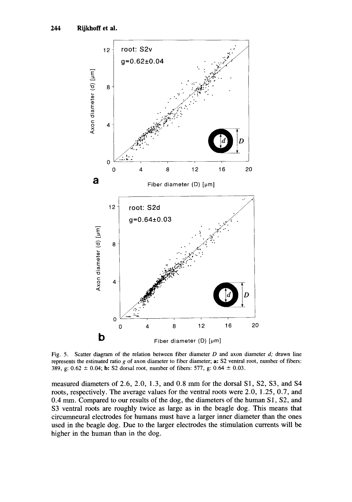

Fig. *5.* Scatter diagram of the relation between fiber diameter *D* and axon diameter *d;* drawn line represents the estimated ratio *g* of axon diameter to fiber diameter; **a: S2** ventral root, number of fibers: **389, g:**  $0.62 \pm 0.04$ ; **b:** S2 dorsal root, number of fibers: 577, g:  $0.64 \pm 0.03$ .

measured diameters of *2.6,* 2.0, 1.3, and 0.8 mm for the dorsal **S1,** S2, **S3,** and S4 roots, respectively. The average values for the ventral roots were **2.0,** 1.25, 0.7, and 0.4 mm. Compared to our results of the dog, the diameters of the human **S1, S2,** and **S3** ventral roots are roughly twice as large as in the beagle dog. This means that circumneural electrodes for humans must have a larger inner diameter than the ones used in the beagle dog. Due to the larger electrodes the stimulation currents will be higher in the human than in the **dog.**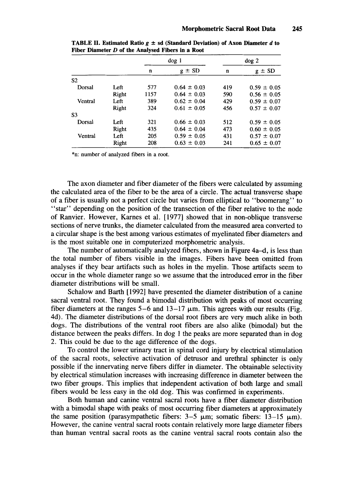|                |       | $\log 1$ |                 | $\log 2$ |                 |
|----------------|-------|----------|-----------------|----------|-----------------|
|                |       | n        | $g \pm SD$      | n        | $\pm$ SD<br>g   |
| S <sub>2</sub> |       |          |                 |          |                 |
| Dorsal         | Left  | 577      | $0.64 \pm 0.03$ | 419      | $0.59 \pm 0.05$ |
|                | Right | 1157     | $0.64 \pm 0.03$ | 590      | $0.56 \pm 0.05$ |
| Ventral        | Left  | 389      | $0.62 \pm 0.04$ | 429      | $0.59 \pm 0.07$ |
|                | Right | 324      | $0.61 \pm 0.05$ | 456      | $0.57 \pm 0.07$ |
| S <sub>3</sub> |       |          |                 |          |                 |
| Dorsal         | Left  | 321      | $0.66 \pm 0.03$ | 512      | $0.59 \pm 0.05$ |
|                | Right | 435      | $0.64 \pm 0.04$ | 473      | $0.60 \pm 0.05$ |
| Ventral        | Left  | 205      | $0.59 \pm 0.05$ | 431      | $0.57 \pm 0.07$ |
|                | Right | 208      | $0.63 \pm 0.03$ | 241      | $0.65 \pm 0.07$ |

**TABLE II. Estimated Ratio**  $g \pm sd$  **(Standard Deviation) of Axon Diameter** *d* **to Fiber Diameter** *D* **of the Analvsed Fibers in a Root** 

\*n: number of analyzed fibers in a root.

The axon diameter and fiber diameter of the fibers were calculated by assuming the calculated area of the fiber to be the area of a circle. The actual transverse shape of a fiber is usually not a perfect circle but varies from elliptical to "boomerang" to "star" depending on the position of the transection of the fiber relative to the node of Ranvier. However, Karnes et al. [1977] showed that in non-oblique transverse sections of nerve **trunks,** the diameter calculated from the measured area converted to a circular shape is the best among various estimates of myelinated fiber diameters and is the most suitable one in computerized morphometric analysis.

The number of automatically analyzed fibers, shown in Figure 4a-d, is less than the total number of fibers visible in the images. Fibers have been omitted from analyses if they bear artifacts such as holes in the myelin. Those artifacts seem to occur in the whole diameter range so we assume that the introduced error in the fiber diameter distributions will be small.

Schalow and Barth [1992] have presented the diameter distribution of a canine sacral ventral root. They found a bimodal distribution with peaks of most occurring fiber diameters at the ranges  $5-6$  and  $13-17 \mu m$ . This agrees with our results (Fig. 4d). The diameter distributions of the dorsal root fibers are very much alike in both dogs. The distributions of the ventral root fibers are also alike (bimodal) but the distance between the peaks differs. In dog 1 the peaks are more separated than in dog 2. This could be due to the age difference of the dogs.

To control the lower urinary tract in spinal cord injury by electrical stimulation of the sacral roots, selective activation of detrusor and urethral sphincter is only possible if the innervating nerve fibers differ in diameter. The obtainable selectivity by electrical stimulation increases with increasing difference in diameter between the two fiber groups. This implies that independent activation of both large and small fibers would be less easy in the old dog. This was confirmed in experiments.

Both human and canine ventral sacral roots have a fiber diameter distribution with a bimodal shape with peaks of most occurring fiber diameters at approximately the same position (parasympathetic fibers:  $3-5 \mu m$ ; somatic fibers:  $13-15 \mu m$ ). However, the canine ventral sacral roots contain relatively more large diameter fibers than human ventral sacral roots as the canine ventral sacral roots contain also the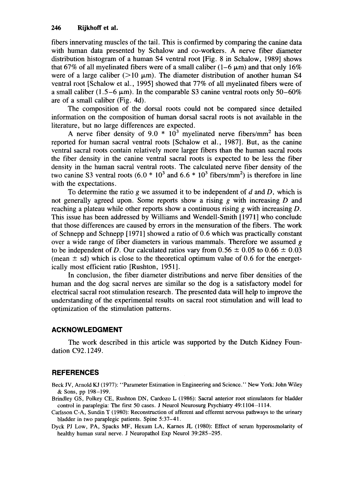fibers innervating muscles of the tail. This is confirmed by comparing the canine data with human data presented by Schalow and co-workers. **A** nerve fiber diameter distribution histogram of a human S4 ventral root [Fig. **8** in Schalow, 19891 shows that 67% of all myelinated fibers were of a small caliber (1–6  $\mu$ m) and that only 16% were of a large caliber ( $>10 \mu m$ ). The diameter distribution of another human S4 ventral root [Schalow et al., 19951 showed that 77% of all myelinated fibers were of a small caliber  $(1.5-6 \mu m)$ . In the comparable S3 canine ventral roots only 50-60% are of a small caliber (Fig. 4d).

The composition of the dorsal roots could not be compared since detailed information on the composition of human dorsal sacral roots is not available in the literature, but no large differences are expected.

A nerve fiber density of 9.0  $*$  10<sup>3</sup> myelinated nerve fibers/mm<sup>2</sup> has been reported for human sacral ventral roots [Schalow et al., 19871. But, as the canine ventral sacral roots contain relatively more larger fibers than the human sacral roots the fiber density in the canine ventral sacral roots is expected to be less the fiber density in the human sacral ventral roots. The calculated nerve fiber density of the two canine S3 ventral roots  $(6.0 * 10^3 \text{ and } 6.6 * 10^3 \text{ fibers/mm}^2)$  is therefore in line with the expectations.

To determine the ratio *g* we assumed it to be independent of *d* and *D,* which is not generally agreed upon. Some reports show a rising *g* with increasing *D* and reaching a plateau while other reports show a continuous rising *g* with increasing *D.*  This issue has been addressed by Williams and Wendell-Smith [1971] who conclude that those differences are caused by errors in the mensuration of the fibers. The work of Schnepp and Schnepp [1971] showed a ratio of 0.6 which was practically constant over a wide range of fiber diameters in various mammals. Therefore we assumed *g*  to be independent of D. Our calculated ratios vary from 0.56  $\pm$  0.05 to 0.66  $\pm$  0.03 (mean  $\pm$  sd) which is close to the theoretical optimum value of 0.6 for the energetically most efficient ratio [Rushton, 1951].

In conclusion, the fiber diameter distributions and nerve fiber densities of the human and the dog sacral nerves are similar so the dog is a satisfactory model for electrical sacral root stimulation research. The presented data will help to improve the understanding of the experimental results on sacral root stimulation and will lead to optimization of the stimulation patterns.

## **ACKNOWLEDGMENT**

The work described in this article was supported by the Dutch Kidney Foundation C92.1249.

## **REFERENCES**

Beck JV, Arnold **KJ** (1977): "Parameter Estimation in Engineering and Science." New York: John Wiley & **Sons, pp 198-199.** 

- **Brindley GS, Polkey CE, Rushton DN, Cardozo L (1986): Sacral anterior root stimulators for bladder control in paraplegia: The first 50 cases. J Neurol Neurosurg Psychiatry 49: 1104-1 114.**
- **Carlsson C-A, Sundin T (1980): Reconstruction of afferent and efferent nervous pathways to the urinary bladder in two paraplegic patients. Spine 5:37-41.**
- **Dyck PJ Low, PA, Spacks MF, Hexum LA, Karnes JL (1980): Effect of serum hyperosmolarity of healthy human surd nerve.** J **Neuropathol Exp Neurol 39:285-295.**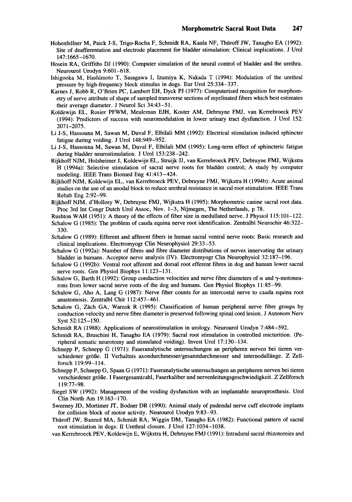- Hohenfellner M, Paick J-S, Trigo-Rocha F, Schmidt RA, Kaula NF, Thiiroff JW, Tanagho EA (1992): Site of deafferentation and electrode placement for bladder stimulation: Clinical implications. J Urol 147: 1665-1670.
- Hosein RA, Griffiths DJ (1990): Computer simulation of the neural control of bladder and the urethra. Neurourol Urodyn 9:601-618.
- Ishigooka M, Hashimoto T, Sasagawa I, Izumiya K, Nakada T (1994): Modulation of the urethral pressure by high-frequency block stimulus in dogs. Eur Urol 25:334-337.
- Karnes J, Robb R, O'Brien PC, Lambert EH, Dyck PJ (1977): Computerized recognition for morphometry of nerve attribute of shape of sampled transverse sections of myelinated fibers which best estimates their average diameter. J Neurol Sci 34:43-51.
- Koldewijn EL, Rosier PFWM, Meuleman **EJH,** Koster AM, Debruyne FMJ, van Kerrebroeck PEV (1994): Predictors of success with neuromodulation in lower urinary tract dysfunction. J Urol 152: 2071-2075.
- Li J-S, Hassouna M, Sawan M, Duval F, Elhilali MM (1992): Electrical stimulation induced sphincter fatigue during voiding. J Urol 148:949-952.
- Li J-S, Hassouna M, Sawan M, Duval F, Elhilali MM (1995): Long-term effect of sphincteric fatigue during bladder neurostimulation. J Urol 153:238-242.
- Rijkhoff NJM, Holsheimer J, Koldewijn EL, Struijk JJ, van Kerrebroeck PEV, Debruyne FMJ, Wijkstra H (1994a): Selective stimulation of sacral nerve roots for bladder control; A study by computer modeling. IEEE Trans Biomed Eng 41:413-424.
- Rijkhoff NJM, Koldewijn EL, van Kerrebroeck PEV, Debruyne FMJ, Wijkstra H (1994b): Acute animal studies on the use of an anodal block to reduce urethral resistance in sacral root stimulation. IEEE Trans Rehab Eng 2:92-99.
- Rijkhoff NJM, d'Hollosy W, Debruyne FMJ, Wijkstra H (1995): Morphometric canine sacral root data. Proc 3rd Int Congr Dutch Urol Assoc, Nov. 1-3, Nijmegen, The Netherlands, p 78.
- Rushton WAH (1951): A theory of the effects of fiber size in medullated nerve. J Physiol 115:lOl-122.
- Schalow G (1985): The problem of cauda equina nerve root identification. Zentralbl Neurochir 46:322- 330.
- Schalow G (1989): Efferent and afferent fibers in human sacral ventral nerve roots: Basic research and clinical implications. Electromyogr Clin Neurophysiol 29:33-53.
- Schalow G (1992a): Number of fibres and fibre diameter distributions of nerves innervating the urinary bladder in humans. Acceptor nerve analysis (IV). Electromyogr Clin Neurophysiol 32: 187-196.
- Schalow G (1992b): Ventral root afferent and dorsal root efferent fibres in dog and human lower sacral nerve roots. Gen Physiol Biophys 11:123-131.
- Schalow G, Barth H (1992): Group conduction velocities and nerve fibre diameters of  $\alpha$  and  $\gamma$ -motoneurons from lower sacral nerve roots of the dog and humans. Gen Physiol Biophys 11:85-99.
- Schalow G, Aho A, Lang G (1987): Nerve fiber counts for an intercostal nerve to cauda equina root anastomosis. Zentralbl Chir 112:457-461.
- Schalow G, Zach GA, Warzok R (1995): Classification of human peripheral nerve fibre groups by conduction velocity and nerve fibre diameter is preserved following spinal cord lesion. J Autonom Nerv Syst 52:125-150.
- Schmidt RA (1988): Applications of neurostimulation in urology. Neurourol Urodyn 7:484-592.
- Schmidt RA, Bruschini H, Tanagho EA (1979): Sacral root stimulation in controlled micturition. (Peripheral somatic neurotomy and stimulated voiding). Invest Urol 17:130-134.
- Schnepp P, Schnepp G (1971): Faseranalytische untersuchungen an peripheren nerven bei tieren verschiedener grok. **I1** Verhaltnis **axondurchmesser/gesamtdurchmesser** und internodallange. Z Zellforsch 119:99-114.
- Schnepp P, Schnepp G, Spaan G (1971): Faseranalytische untersuchungen an peripheren nerven bei tieren verschiedener groBe. I Fasergesamtzahl, Faserkaliber und **nervenleitungsgeschwindigkeit.** Z Zellforsch 119:77-98.
- Siege1 SW (1992): Management of the voiding dysfunction with an implantable neuroprosthesis. Urol Clin North Am 19:163-170.
- Sweeney JD, Mortimer JT, Bodner DR (1990): Animal study of pudendal nerve cuff electrode implants for collision block of motor activity. Neurourol Urodyn 9:83-93.
- Thiiroff JW, Bazeed MA, Schmidt RA, Wiggin DM, Tanagho EA (1982): Functional pattern of sacral root stimulation in dogs: **II** Urethral closure. J Urol 127:1034-1038.
- van Kerrebroeck PEV, Koldewijn E, Wijkstra H, Debruyne FMJ (1991): Intradural sacral rhizotomies and